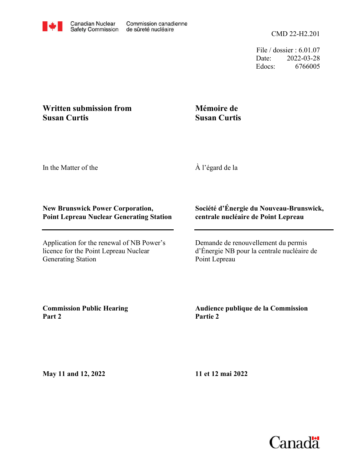File / dossier : 6.01.07 Date: 2022-03-28 Edocs: 6766005

## **Written submission from Susan Curtis**

# **Mémoire de Susan Curtis**

In the Matter of the

À l'égard de la

### **New Brunswick Power Corporation, Point Lepreau Nuclear Generating Station**

Application for the renewal of NB Power's licence for the Point Lepreau Nuclear Generating Station

#### **Société d'Énergie du Nouveau-Brunswick, centrale nucléaire de Point Lepreau**

Demande de renouvellement du permis d'Énergie NB pour la centrale nucléaire de Point Lepreau

**Commission Public Hearing Part 2**

### **Audience publique de la Commission Partie 2**

**May 11 and 12, 2022**

**11 et 12 mai 2022**